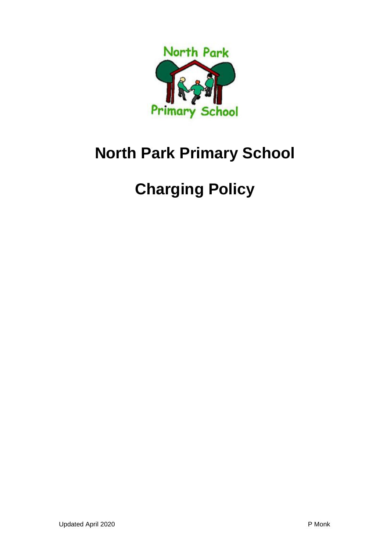

# **North Park Primary School**

# **Charging Policy**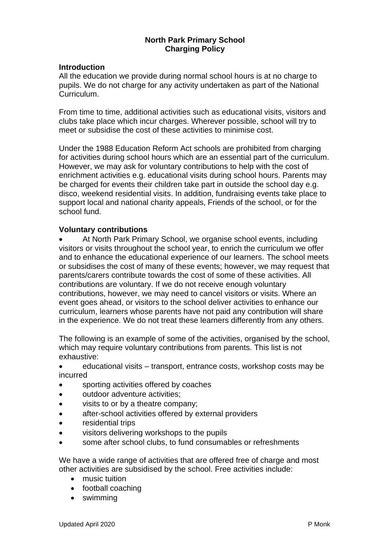#### **North Park Primary School Charging Policy**

#### **Introduction**

All the education we provide during normal school hours is at no charge to pupils. We do not charge for any activity undertaken as part of the National Curriculum.

From time to time, additional activities such as educational visits, visitors and clubs take place which incur charges. Wherever possible, school will try to meet or subsidise the cost of these activities to minimise cost.

Under the 1988 Education Reform Act schools are prohibited from charging for activities during school hours which are an essential part of the curriculum. However, we may ask for voluntary contributions to help with the cost of enrichment activities e.g. educational visits during school hours. Parents may be charged for events their children take part in outside the school day e.g. disco, weekend residential visits. In addition, fundraising events take place to support local and national charity appeals, Friends of the school, or for the school fund.

#### **Voluntary contributions**

• At North Park Primary School, we organise school events, including visitors or visits throughout the school year, to enrich the curriculum we offer and to enhance the educational experience of our learners. The school meets or subsidises the cost of many of these events; however, we may request that parents/carers contribute towards the cost of some of these activities. All contributions are voluntary. If we do not receive enough voluntary contributions, however, we may need to cancel visitors or visits. Where an event goes ahead, or visitors to the school deliver activities to enhance our curriculum, learners whose parents have not paid any contribution will share in the experience. We do not treat these learners differently from any others.

The following is an example of some of the activities, organised by the school, which may require voluntary contributions from parents. This list is not exhaustive:

• educational visits – transport, entrance costs, workshop costs may be incurred

- sporting activities offered by coaches
- outdoor adventure activities;
- visits to or by a theatre company;
- after-school activities offered by external providers
- residential trips
- visitors delivering workshops to the pupils
- some after school clubs, to fund consumables or refreshments

We have a wide range of activities that are offered free of charge and most other activities are subsidised by the school. Free activities include:

- music tuition
- football coaching
- swimming